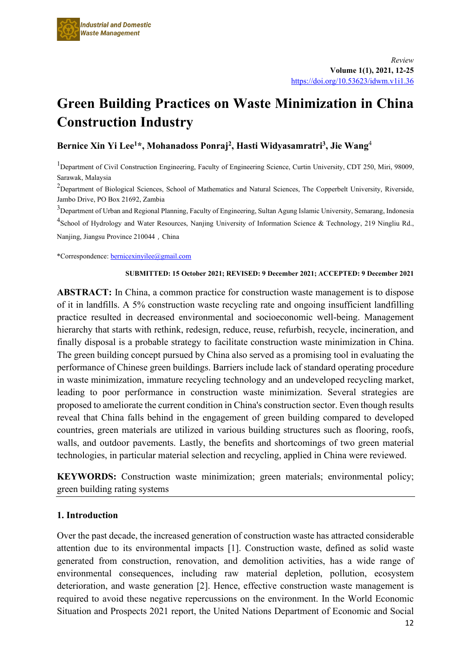# **Green Building Practices on Waste Minimization in China Construction Industry**

**Bernice Xin Yi Lee1\*, Mohanadoss Ponraj2, Hasti Widyasamratri3, Jie Wang**<sup>4</sup>

<sup>1</sup>Department of Civil Construction Engineering, Faculty of Engineering Science, Curtin University, CDT 250, Miri, 98009, Sarawak, Malaysia

 $^{2}$ Department of Biological Sciences, School of Mathematics and Natural Sciences, The Copperbelt University, Riverside, Jambo Drive, PO Box 21692, Zambia

 $^3$ Department of Urban and Regional Planning, Faculty of Engineering, Sultan Agung Islamic University, Semarang, Indonesia <sup>4</sup>School of Hydrology and Water Resources, Nanjing University of Information Science & Technology, 219 Ningliu Rd., Nanjing, Jiangsu Province 210044, China

\*Correspondence[: bernicexinyilee@gmail.com](mailto:bernicexinyilee@gmail.com) 

#### **SUBMITTED: 15 October 2021; REVISED: 9 December 2021; ACCEPTED: 9 December 2021**

**ABSTRACT:** In China, a common practice for construction waste management is to dispose of it in landfills. A 5% construction waste recycling rate and ongoing insufficient landfilling practice resulted in decreased environmental and socioeconomic well-being. Management hierarchy that starts with rethink, redesign, reduce, reuse, refurbish, recycle, incineration, and finally disposal is a probable strategy to facilitate construction waste minimization in China. The green building concept pursued by China also served as a promising tool in evaluating the performance of Chinese green buildings. Barriers include lack of standard operating procedure in waste minimization, immature recycling technology and an undeveloped recycling market, leading to poor performance in construction waste minimization. Several strategies are proposed to ameliorate the current condition in China's construction sector. Even though results reveal that China falls behind in the engagement of green building compared to developed countries, green materials are utilized in various building structures such as flooring, roofs, walls, and outdoor pavements. Lastly, the benefits and shortcomings of two green material technologies, in particular material selection and recycling, applied in China were reviewed.

**KEYWORDS:** Construction waste minimization; green materials; environmental policy; green building rating systems

## **1. Introduction**

Over the past decade, the increased generation of construction waste has attracted considerable attention due to its environmental impacts [1]. Construction waste, defined as solid waste generated from construction, renovation, and demolition activities, has a wide range of environmental consequences, including raw material depletion, pollution, ecosystem deterioration, and waste generation [2]. Hence, effective construction waste management is required to avoid these negative repercussions on the environment. In the World Economic Situation and Prospects 2021 report, the United Nations Department of Economic and Social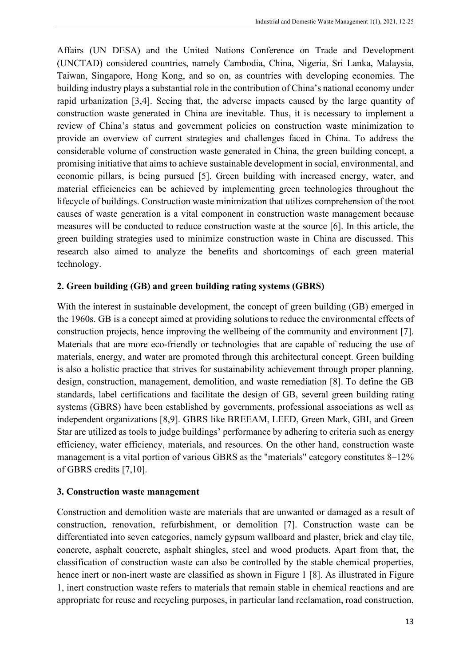Affairs (UN DESA) and the United Nations Conference on Trade and Development (UNCTAD) considered countries, namely Cambodia, China, Nigeria, Sri Lanka, Malaysia, Taiwan, Singapore, Hong Kong, and so on, as countries with developing economies. The building industry plays a substantial role in the contribution of China's national economy under rapid urbanization [3,4]. Seeing that, the adverse impacts caused by the large quantity of construction waste generated in China are inevitable. Thus, it is necessary to implement a review of China's status and government policies on construction waste minimization to provide an overview of current strategies and challenges faced in China. To address the considerable volume of construction waste generated in China, the green building concept, a promising initiative that aims to achieve sustainable development in social, environmental, and economic pillars, is being pursued [5]. Green building with increased energy, water, and material efficiencies can be achieved by implementing green technologies throughout the lifecycle of buildings. Construction waste minimization that utilizes comprehension of the root causes of waste generation is a vital component in construction waste management because measures will be conducted to reduce construction waste at the source [6]. In this article, the green building strategies used to minimize construction waste in China are discussed. This research also aimed to analyze the benefits and shortcomings of each green material technology.

# **2. Green building (GB) and green building rating systems (GBRS)**

With the interest in sustainable development, the concept of green building (GB) emerged in the 1960s. GB is a concept aimed at providing solutions to reduce the environmental effects of construction projects, hence improving the wellbeing of the community and environment [7]. Materials that are more eco-friendly or technologies that are capable of reducing the use of materials, energy, and water are promoted through this architectural concept. Green building is also a holistic practice that strives for sustainability achievement through proper planning, design, construction, management, demolition, and waste remediation [8]. To define the GB standards, label certifications and facilitate the design of GB, several green building rating systems (GBRS) have been established by governments, professional associations as well as independent organizations [8,9]. GBRS like BREEAM, LEED, Green Mark, GBI, and Green Star are utilized as tools to judge buildings' performance by adhering to criteria such as energy efficiency, water efficiency, materials, and resources. On the other hand, construction waste management is a vital portion of various GBRS as the "materials" category constitutes 8–12% of GBRS credits [7,10].

# **3. Construction waste management**

Construction and demolition waste are materials that are unwanted or damaged as a result of construction, renovation, refurbishment, or demolition [7]. Construction waste can be differentiated into seven categories, namely gypsum wallboard and plaster, brick and clay tile, concrete, asphalt concrete, asphalt shingles, steel and wood products. Apart from that, the classification of construction waste can also be controlled by the stable chemical properties, hence inert or non-inert waste are classified as shown in Figure 1 [8]. As illustrated in Figure 1, inert construction waste refers to materials that remain stable in chemical reactions and are appropriate for reuse and recycling purposes, in particular land reclamation, road construction,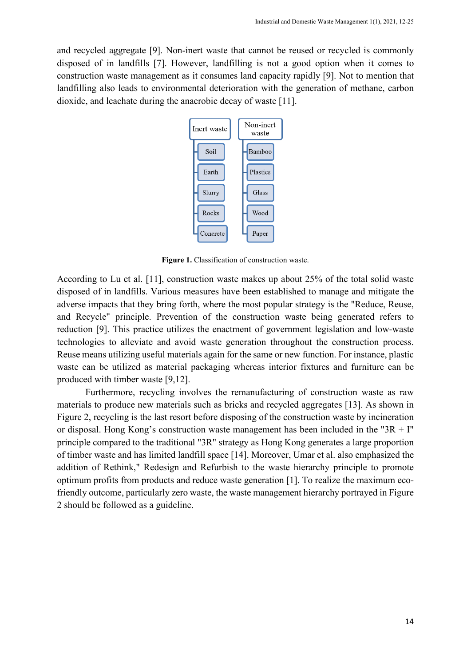and recycled aggregate [9]. Non-inert waste that cannot be reused or recycled is commonly disposed of in landfills [7]. However, landfilling is not a good option when it comes to construction waste management as it consumes land capacity rapidly [9]. Not to mention that landfilling also leads to environmental deterioration with the generation of methane, carbon dioxide, and leachate during the anaerobic decay of waste [11].



**Figure 1.** Classification of construction waste.

According to Lu et al. [11], construction waste makes up about 25% of the total solid waste disposed of in landfills. Various measures have been established to manage and mitigate the adverse impacts that they bring forth, where the most popular strategy is the "Reduce, Reuse, and Recycle" principle. Prevention of the construction waste being generated refers to reduction [9]. This practice utilizes the enactment of government legislation and low-waste technologies to alleviate and avoid waste generation throughout the construction process. Reuse means utilizing useful materials again for the same or new function. For instance, plastic waste can be utilized as material packaging whereas interior fixtures and furniture can be produced with timber waste [9,12].

Furthermore, recycling involves the remanufacturing of construction waste as raw materials to produce new materials such as bricks and recycled aggregates [13]. As shown in Figure 2, recycling is the last resort before disposing of the construction waste by incineration or disposal. Hong Kong's construction waste management has been included in the " $3R + I$ " principle compared to the traditional "3R" strategy as Hong Kong generates a large proportion of timber waste and has limited landfill space [14]. Moreover, Umar et al. also emphasized the addition of Rethink," Redesign and Refurbish to the waste hierarchy principle to promote optimum profits from products and reduce waste generation [1]. To realize the maximum ecofriendly outcome, particularly zero waste, the waste management hierarchy portrayed in Figure 2 should be followed as a guideline.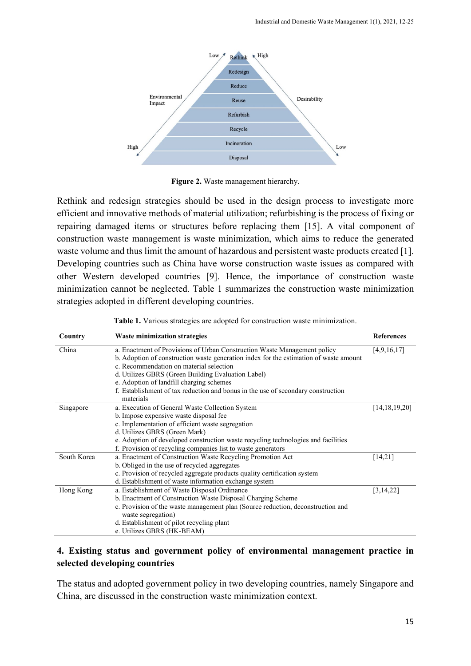

**Figure 2.** Waste management hierarchy.

Rethink and redesign strategies should be used in the design process to investigate more efficient and innovative methods of material utilization; refurbishing is the process of fixing or repairing damaged items or structures before replacing them [15]. A vital component of construction waste management is waste minimization, which aims to reduce the generated waste volume and thus limit the amount of hazardous and persistent waste products created [1]. Developing countries such as China have worse construction waste issues as compared with other Western developed countries [9]. Hence, the importance of construction waste minimization cannot be neglected. Table 1 summarizes the construction waste minimization strategies adopted in different developing countries.

| Country     | <b>Waste minimization strategies</b>                                                          | <b>References</b> |  |  |
|-------------|-----------------------------------------------------------------------------------------------|-------------------|--|--|
| China       | a. Enactment of Provisions of Urban Construction Waste Management policy                      |                   |  |  |
|             | b. Adoption of construction waste generation index for the estimation of waste amount         |                   |  |  |
|             | c. Recommendation on material selection                                                       |                   |  |  |
|             | d. Utilizes GBRS (Green Building Evaluation Label)                                            |                   |  |  |
|             | e. Adoption of landfill charging schemes                                                      |                   |  |  |
|             | f. Establishment of tax reduction and bonus in the use of secondary construction<br>materials |                   |  |  |
| Singapore   | a. Execution of General Waste Collection System                                               | [14, 18, 19, 20]  |  |  |
|             | b. Impose expensive waste disposal fee                                                        |                   |  |  |
|             | c. Implementation of efficient waste segregation                                              |                   |  |  |
|             | d. Utilizes GBRS (Green Mark)                                                                 |                   |  |  |
|             | e. Adoption of developed construction waste recycling technologies and facilities             |                   |  |  |
|             | f. Provision of recycling companies list to waste generators                                  |                   |  |  |
| South Korea | a. Enactment of Construction Waste Recycling Promotion Act                                    | [14,21]           |  |  |
|             | b. Obliged in the use of recycled aggregates                                                  |                   |  |  |
|             | c. Provision of recycled aggregate products quality certification system                      |                   |  |  |
|             | d. Establishment of waste information exchange system                                         |                   |  |  |
| Hong Kong   | a. Establishment of Waste Disposal Ordinance                                                  | [3,14,22]         |  |  |
|             | b. Enactment of Construction Waste Disposal Charging Scheme                                   |                   |  |  |
|             | c. Provision of the waste management plan (Source reduction, deconstruction and               |                   |  |  |
|             | waste segregation)                                                                            |                   |  |  |
|             | d. Establishment of pilot recycling plant                                                     |                   |  |  |
|             | e. Utilizes GBRS (HK-BEAM)                                                                    |                   |  |  |

|  |  |  |  |  | Table 1. Various strategies are adopted for construction waste minimization. |  |  |  |
|--|--|--|--|--|------------------------------------------------------------------------------|--|--|--|
|--|--|--|--|--|------------------------------------------------------------------------------|--|--|--|

# **4. Existing status and government policy of environmental management practice in selected developing countries**

The status and adopted government policy in two developing countries, namely Singapore and China, are discussed in the construction waste minimization context.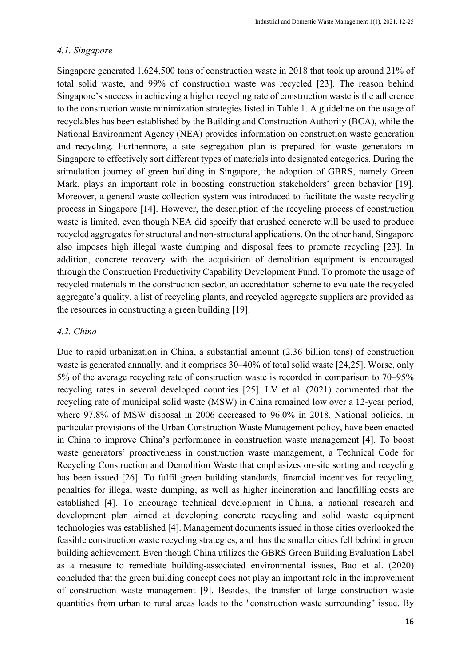#### *4.1. Singapore*

Singapore generated 1,624,500 tons of construction waste in 2018 that took up around 21% of total solid waste, and 99% of construction waste was recycled [23]. The reason behind Singapore's success in achieving a higher recycling rate of construction waste is the adherence to the construction waste minimization strategies listed in Table 1. A guideline on the usage of recyclables has been established by the Building and Construction Authority (BCA), while the National Environment Agency (NEA) provides information on construction waste generation and recycling. Furthermore, a site segregation plan is prepared for waste generators in Singapore to effectively sort different types of materials into designated categories. During the stimulation journey of green building in Singapore, the adoption of GBRS, namely Green Mark, plays an important role in boosting construction stakeholders' green behavior [19]. Moreover, a general waste collection system was introduced to facilitate the waste recycling process in Singapore [14]. However, the description of the recycling process of construction waste is limited, even though NEA did specify that crushed concrete will be used to produce recycled aggregates for structural and non-structural applications. On the other hand, Singapore also imposes high illegal waste dumping and disposal fees to promote recycling [23]. In addition, concrete recovery with the acquisition of demolition equipment is encouraged through the Construction Productivity Capability Development Fund. To promote the usage of recycled materials in the construction sector, an accreditation scheme to evaluate the recycled aggregate's quality, a list of recycling plants, and recycled aggregate suppliers are provided as the resources in constructing a green building [19].

#### *4.2. China*

Due to rapid urbanization in China, a substantial amount (2.36 billion tons) of construction waste is generated annually, and it comprises 30–40% of total solid waste [24,25]. Worse, only 5% of the average recycling rate of construction waste is recorded in comparison to 70–95% recycling rates in several developed countries [25]. LV et al. (2021) commented that the recycling rate of municipal solid waste (MSW) in China remained low over a 12-year period, where 97.8% of MSW disposal in 2006 decreased to 96.0% in 2018. National policies, in particular provisions of the Urban Construction Waste Management policy, have been enacted in China to improve China's performance in construction waste management [4]. To boost waste generators' proactiveness in construction waste management, a Technical Code for Recycling Construction and Demolition Waste that emphasizes on-site sorting and recycling has been issued [26]. To fulfil green building standards, financial incentives for recycling, penalties for illegal waste dumping, as well as higher incineration and landfilling costs are established [4]. To encourage technical development in China, a national research and development plan aimed at developing concrete recycling and solid waste equipment technologies was established [4]. Management documents issued in those cities overlooked the feasible construction waste recycling strategies, and thus the smaller cities fell behind in green building achievement. Even though China utilizes the GBRS Green Building Evaluation Label as a measure to remediate building-associated environmental issues, Bao et al. (2020) concluded that the green building concept does not play an important role in the improvement of construction waste management [9]. Besides, the transfer of large construction waste quantities from urban to rural areas leads to the "construction waste surrounding" issue. By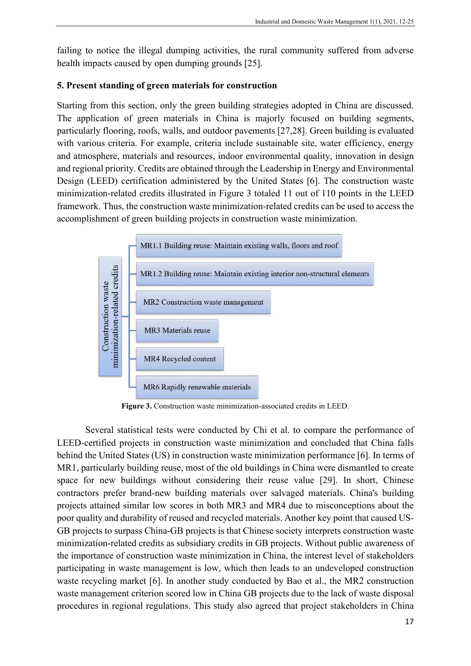failing to notice the illegal dumping activities, the rural community suffered from adverse health impacts caused by open dumping grounds [25].

# **5. Present standing of green materials for construction**

Starting from this section, only the green building strategies adopted in China are discussed. The application of green materials in China is majorly focused on building segments, particularly flooring, roofs, walls, and outdoor pavements [27,28]. Green building is evaluated with various criteria. For example, criteria include sustainable site, water efficiency, energy and atmosphere, materials and resources, indoor environmental quality, innovation in design and regional priority. Credits are obtained through the Leadership in Energy and Environmental Design (LEED) certification administered by the United States [6]. The construction waste minimization-related credits illustrated in Figure 3 totaled 11 out of 110 points in the LEED framework. Thus, the construction waste minimization-related credits can be used to access the accomplishment of green building projects in construction waste minimization.



**Figure 3.** Construction waste minimization-associated credits in LEED.

Several statistical tests were conducted by Chi et al. to compare the performance of LEED-certified projects in construction waste minimization and concluded that China falls behind the United States (US) in construction waste minimization performance [6]. In terms of MR1, particularly building reuse, most of the old buildings in China were dismantled to create space for new buildings without considering their reuse value [29]. In short, Chinese contractors prefer brand-new building materials over salvaged materials. China's building projects attained similar low scores in both MR3 and MR4 due to misconceptions about the poor quality and durability of reused and recycled materials. Another key point that caused US-GB projects to surpass China-GB projects is that Chinese society interprets construction waste minimization-related credits as subsidiary credits in GB projects. Without public awareness of the importance of construction waste minimization in China, the interest level of stakeholders participating in waste management is low, which then leads to an undeveloped construction waste recycling market [6]. In another study conducted by Bao et al., the MR2 construction waste management criterion scored low in China GB projects due to the lack of waste disposal procedures in regional regulations. This study also agreed that project stakeholders in China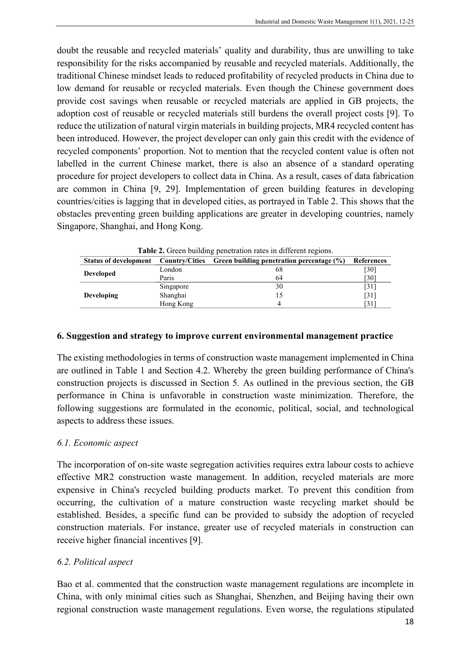doubt the reusable and recycled materials' quality and durability, thus are unwilling to take responsibility for the risks accompanied by reusable and recycled materials. Additionally, the traditional Chinese mindset leads to reduced profitability of recycled products in China due to low demand for reusable or recycled materials. Even though the Chinese government does provide cost savings when reusable or recycled materials are applied in GB projects, the adoption cost of reusable or recycled materials still burdens the overall project costs [9]. To reduce the utilization of natural virgin materials in building projects, MR4 recycled content has been introduced. However, the project developer can only gain this credit with the evidence of recycled components' proportion. Not to mention that the recycled content value is often not labelled in the current Chinese market, there is also an absence of a standard operating procedure for project developers to collect data in China. As a result, cases of data fabrication are common in China [9, 29]. Implementation of green building features in developing countries/cities is lagging that in developed cities, as portrayed in Table 2. This shows that the obstacles preventing green building applications are greater in developing countries, namely Singapore, Shanghai, and Hong Kong.

| <b>Table 2.</b> Green building penetration rates in different regions. |                       |                                              |                   |  |  |  |  |  |
|------------------------------------------------------------------------|-----------------------|----------------------------------------------|-------------------|--|--|--|--|--|
| <b>Status of development</b>                                           | <b>Country/Cities</b> | Green building penetration percentage $(\%)$ | <b>References</b> |  |  |  |  |  |
| <b>Developed</b>                                                       | London                | 68                                           | [30]              |  |  |  |  |  |
|                                                                        | Paris                 | 64                                           | [30]              |  |  |  |  |  |
|                                                                        | Singapore             | 30                                           | [31]              |  |  |  |  |  |
| <b>Developing</b>                                                      | Shanghai              | 15                                           | [31]              |  |  |  |  |  |
|                                                                        | Hong Kong             |                                              | [31]              |  |  |  |  |  |

**Table 2.** Green building penetration rates in different regions.

## **6. Suggestion and strategy to improve current environmental management practice**

The existing methodologies in terms of construction waste management implemented in China are outlined in Table 1 and Section 4.2. Whereby the green building performance of China's construction projects is discussed in Section 5. As outlined in the previous section, the GB performance in China is unfavorable in construction waste minimization. Therefore, the following suggestions are formulated in the economic, political, social, and technological aspects to address these issues.

# *6.1. Economic aspect*

The incorporation of on-site waste segregation activities requires extra labour costs to achieve effective MR2 construction waste management. In addition, recycled materials are more expensive in China's recycled building products market. To prevent this condition from occurring, the cultivation of a mature construction waste recycling market should be established. Besides, a specific fund can be provided to subsidy the adoption of recycled construction materials. For instance, greater use of recycled materials in construction can receive higher financial incentives [9].

# *6.2. Political aspect*

Bao et al. commented that the construction waste management regulations are incomplete in China, with only minimal cities such as Shanghai, Shenzhen, and Beijing having their own regional construction waste management regulations. Even worse, the regulations stipulated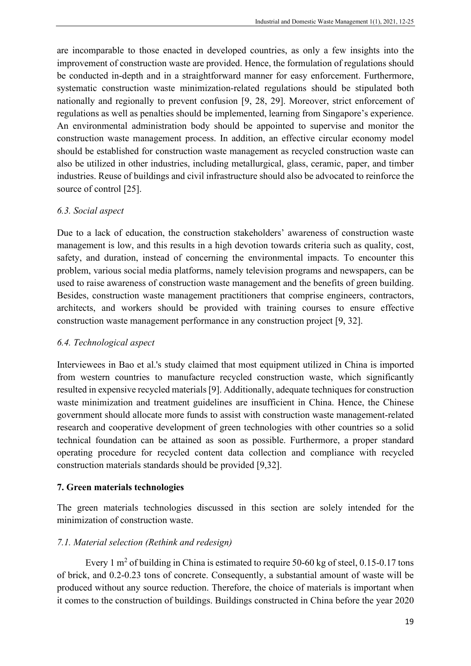are incomparable to those enacted in developed countries, as only a few insights into the improvement of construction waste are provided. Hence, the formulation of regulations should be conducted in-depth and in a straightforward manner for easy enforcement. Furthermore, systematic construction waste minimization-related regulations should be stipulated both nationally and regionally to prevent confusion [9, 28, 29]. Moreover, strict enforcement of regulations as well as penalties should be implemented, learning from Singapore's experience. An environmental administration body should be appointed to supervise and monitor the construction waste management process. In addition, an effective circular economy model should be established for construction waste management as recycled construction waste can also be utilized in other industries, including metallurgical, glass, ceramic, paper, and timber industries. Reuse of buildings and civil infrastructure should also be advocated to reinforce the source of control [25].

# *6.3. Social aspect*

Due to a lack of education, the construction stakeholders' awareness of construction waste management is low, and this results in a high devotion towards criteria such as quality, cost, safety, and duration, instead of concerning the environmental impacts. To encounter this problem, various social media platforms, namely television programs and newspapers, can be used to raise awareness of construction waste management and the benefits of green building. Besides, construction waste management practitioners that comprise engineers, contractors, architects, and workers should be provided with training courses to ensure effective construction waste management performance in any construction project [9, 32].

# *6.4. Technological aspect*

Interviewees in Bao et al.'s study claimed that most equipment utilized in China is imported from western countries to manufacture recycled construction waste, which significantly resulted in expensive recycled materials [9]. Additionally, adequate techniques for construction waste minimization and treatment guidelines are insufficient in China. Hence, the Chinese government should allocate more funds to assist with construction waste management-related research and cooperative development of green technologies with other countries so a solid technical foundation can be attained as soon as possible. Furthermore, a proper standard operating procedure for recycled content data collection and compliance with recycled construction materials standards should be provided [9,32].

# **7. Green materials technologies**

The green materials technologies discussed in this section are solely intended for the minimization of construction waste.

# *7.1. Material selection (Rethink and redesign)*

Every 1  $m<sup>2</sup>$  of building in China is estimated to require 50-60 kg of steel, 0.15-0.17 tons of brick, and 0.2-0.23 tons of concrete. Consequently, a substantial amount of waste will be produced without any source reduction. Therefore, the choice of materials is important when it comes to the construction of buildings. Buildings constructed in China before the year 2020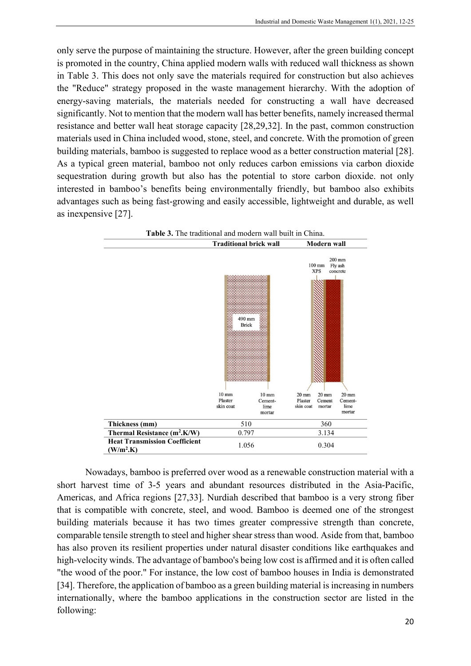only serve the purpose of maintaining the structure. However, after the green building concept is promoted in the country, China applied modern walls with reduced wall thickness as shown in Table 3. This does not only save the materials required for construction but also achieves the "Reduce" strategy proposed in the waste management hierarchy. With the adoption of energy-saving materials, the materials needed for constructing a wall have decreased significantly. Not to mention that the modern wall has better benefits, namely increased thermal resistance and better wall heat storage capacity [28,29,32]. In the past, common construction materials used in China included wood, stone, steel, and concrete. With the promotion of green building materials, bamboo is suggested to replace wood as a better construction material [28]. As a typical green material, bamboo not only reduces carbon emissions via carbon dioxide sequestration during growth but also has the potential to store carbon dioxide. not only interested in bamboo's benefits being environmentally friendly, but bamboo also exhibits advantages such as being fast-growing and easily accessible, lightweight and durable, as well as inexpensive [27].



Nowadays, bamboo is preferred over wood as a renewable construction material with a short harvest time of 3-5 years and abundant resources distributed in the Asia-Pacific, Americas, and Africa regions [27,33]. Nurdiah described that bamboo is a very strong fiber that is compatible with concrete, steel, and wood. Bamboo is deemed one of the strongest building materials because it has two times greater compressive strength than concrete, comparable tensile strength to steel and higher shear stress than wood. Aside from that, bamboo has also proven its resilient properties under natural disaster conditions like earthquakes and high-velocity winds. The advantage of bamboo's being low cost is affirmed and it is often called "the wood of the poor." For instance, the low cost of bamboo houses in India is demonstrated [34]. Therefore, the application of bamboo as a green building material is increasing in numbers internationally, where the bamboo applications in the construction sector are listed in the following: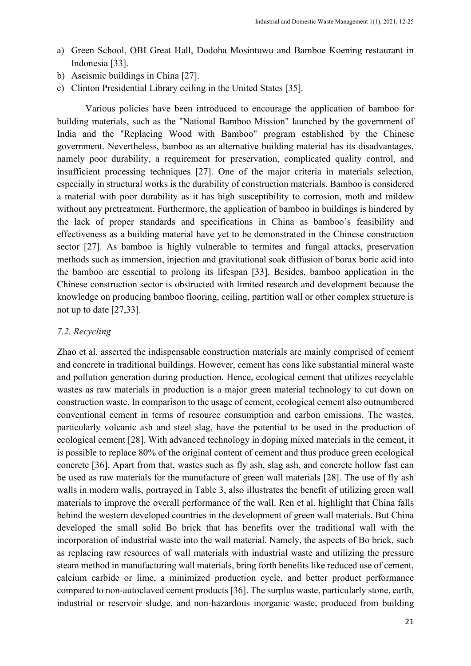- a) Green School, OBI Great Hall, Dodoha Mosintuwu and Bamboe Koening restaurant in Indonesia [33].
- b) Aseismic buildings in China [27].
- c) Clinton Presidential Library ceiling in the United States [35].

Various policies have been introduced to encourage the application of bamboo for building materials, such as the "National Bamboo Mission" launched by the government of India and the "Replacing Wood with Bamboo" program established by the Chinese government. Nevertheless, bamboo as an alternative building material has its disadvantages, namely poor durability, a requirement for preservation, complicated quality control, and insufficient processing techniques [27]. One of the major criteria in materials selection, especially in structural works is the durability of construction materials. Bamboo is considered a material with poor durability as it has high susceptibility to corrosion, moth and mildew without any pretreatment. Furthermore, the application of bamboo in buildings is hindered by the lack of proper standards and specifications in China as bamboo's feasibility and effectiveness as a building material have yet to be demonstrated in the Chinese construction sector [27]. As bamboo is highly vulnerable to termites and fungal attacks, preservation methods such as immersion, injection and gravitational soak diffusion of borax boric acid into the bamboo are essential to prolong its lifespan [33]. Besides, bamboo application in the Chinese construction sector is obstructed with limited research and development because the knowledge on producing bamboo flooring, ceiling, partition wall or other complex structure is not up to date [27,33].

#### *7.2. Recycling*

Zhao et al. asserted the indispensable construction materials are mainly comprised of cement and concrete in traditional buildings. However, cement has cons like substantial mineral waste and pollution generation during production. Hence, ecological cement that utilizes recyclable wastes as raw materials in production is a major green material technology to cut down on construction waste. In comparison to the usage of cement, ecological cement also outnumbered conventional cement in terms of resource consumption and carbon emissions. The wastes, particularly volcanic ash and steel slag, have the potential to be used in the production of ecological cement [28]. With advanced technology in doping mixed materials in the cement, it is possible to replace 80% of the original content of cement and thus produce green ecological concrete [36]. Apart from that, wastes such as fly ash, slag ash, and concrete hollow fast can be used as raw materials for the manufacture of green wall materials [28]. The use of fly ash walls in modern walls, portrayed in Table 3, also illustrates the benefit of utilizing green wall materials to improve the overall performance of the wall. Ren et al. highlight that China falls behind the western developed countries in the development of green wall materials. But China developed the small solid Bo brick that has benefits over the traditional wall with the incorporation of industrial waste into the wall material. Namely, the aspects of Bo brick, such as replacing raw resources of wall materials with industrial waste and utilizing the pressure steam method in manufacturing wall materials, bring forth benefits like reduced use of cement, calcium carbide or lime, a minimized production cycle, and better product performance compared to non-autoclaved cement products [36]. The surplus waste, particularly stone, earth, industrial or reservoir sludge, and non-hazardous inorganic waste, produced from building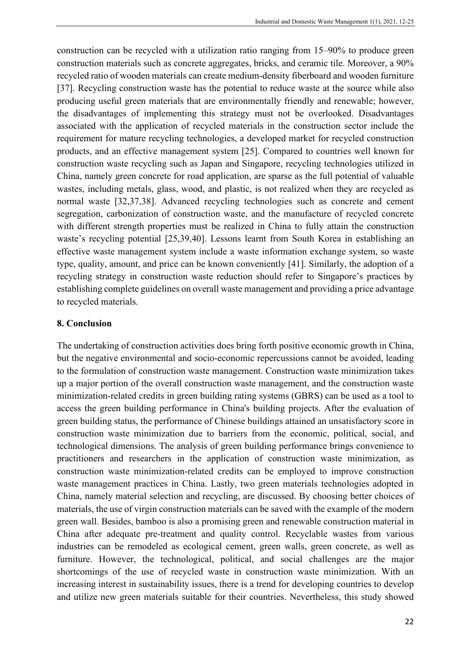construction can be recycled with a utilization ratio ranging from 15–90% to produce green construction materials such as concrete aggregates, bricks, and ceramic tile. Moreover, a 90% recycled ratio of wooden materials can create medium-density fiberboard and wooden furniture [37]. Recycling construction waste has the potential to reduce waste at the source while also producing useful green materials that are environmentally friendly and renewable; however, the disadvantages of implementing this strategy must not be overlooked. Disadvantages associated with the application of recycled materials in the construction sector include the requirement for mature recycling technologies, a developed market for recycled construction products, and an effective management system [25]. Compared to countries well known for construction waste recycling such as Japan and Singapore, recycling technologies utilized in China, namely green concrete for road application, are sparse as the full potential of valuable wastes, including metals, glass, wood, and plastic, is not realized when they are recycled as normal waste [32,37,38]. Advanced recycling technologies such as concrete and cement segregation, carbonization of construction waste, and the manufacture of recycled concrete with different strength properties must be realized in China to fully attain the construction waste's recycling potential [25,39,40]. Lessons learnt from South Korea in establishing an effective waste management system include a waste information exchange system, so waste type, quality, amount, and price can be known conveniently [41]. Similarly, the adoption of a recycling strategy in construction waste reduction should refer to Singapore's practices by establishing complete guidelines on overall waste management and providing a price advantage to recycled materials.

## **8. Conclusion**

The undertaking of construction activities does bring forth positive economic growth in China, but the negative environmental and socio-economic repercussions cannot be avoided, leading to the formulation of construction waste management. Construction waste minimization takes up a major portion of the overall construction waste management, and the construction waste minimization-related credits in green building rating systems (GBRS) can be used as a tool to access the green building performance in China's building projects. After the evaluation of green building status, the performance of Chinese buildings attained an unsatisfactory score in construction waste minimization due to barriers from the economic, political, social, and technological dimensions. The analysis of green building performance brings convenience to practitioners and researchers in the application of construction waste minimization, as construction waste minimization-related credits can be employed to improve construction waste management practices in China. Lastly, two green materials technologies adopted in China, namely material selection and recycling, are discussed. By choosing better choices of materials, the use of virgin construction materials can be saved with the example of the modern green wall. Besides, bamboo is also a promising green and renewable construction material in China after adequate pre-treatment and quality control. Recyclable wastes from various industries can be remodeled as ecological cement, green walls, green concrete, as well as furniture. However, the technological, political, and social challenges are the major shortcomings of the use of recycled waste in construction waste minimization. With an increasing interest in sustainability issues, there is a trend for developing countries to develop and utilize new green materials suitable for their countries. Nevertheless, this study showed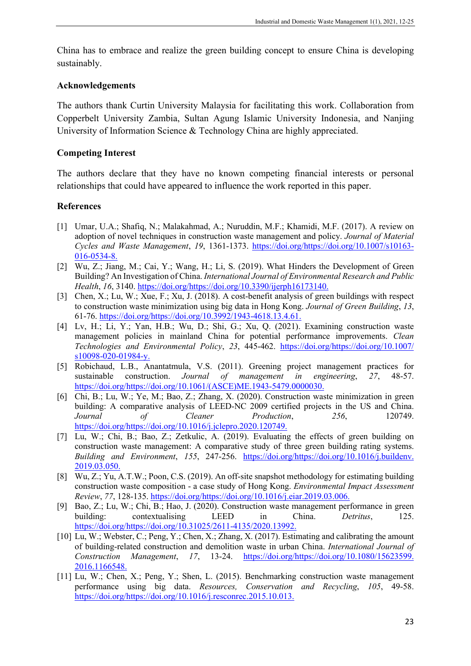China has to embrace and realize the green building concept to ensure China is developing sustainably.

# **Acknowledgements**

The authors thank Curtin University Malaysia for facilitating this work. Collaboration from Copperbelt University Zambia, Sultan Agung Islamic University Indonesia, and Nanjing University of Information Science & Technology China are highly appreciated.

# **Competing Interest**

The authors declare that they have no known competing financial interests or personal relationships that could have appeared to influence the work reported in this paper.

# **References**

- [1] Umar, U.A.; Shafiq, N.; Malakahmad, A.; Nuruddin, M.F.; Khamidi, M.F. (2017). A review on adoption of novel techniques in construction waste management and policy. *Journal of Material Cycles and Waste Management*, *19*, 1361-1373. [https://doi.org/https://doi.org/10.1007/s10163-](https://doi.org/https:/doi.org/10.1007/s10163-016-0534-8) [016-0534-8.](https://doi.org/https:/doi.org/10.1007/s10163-016-0534-8)
- [2] Wu, Z.; Jiang, M.; Cai, Y.; Wang, H.; Li, S. (2019). What Hinders the Development of Green Building? An Investigation of China. *International Journal of Environmental Research and Public Health*, *16*, 3140. [https://doi.org/https://doi.org/10.3390/ijerph16173140.](https://doi.org/https:/doi.org/10.3390/ijerph16173140)
- [3] Chen, X.; Lu, W.; Xue, F.; Xu, J. (2018). A cost-benefit analysis of green buildings with respect to construction waste minimization using big data in Hong Kong. *Journal of Green Building*, *13*, 61-76. [https://doi.org/https://doi.org/10.3992/1943-4618.13.4.61.](https://doi.org/https:/doi.org/10.3992/1943-4618.13.4.61)
- [4] Lv, H.; Li, Y.; Yan, H.B.; Wu, D.; Shi, G.; Xu, Q. (2021). Examining construction waste management policies in mainland China for potential performance improvements. *Clean Technologies and Environmental Policy*, *23*, 445-462. [https://doi.org/https://doi.org/10.1007/](https://doi.org/https:/doi.org/10.1007/%20s10098-020-01984-y)  [s10098-020-01984-y.](https://doi.org/https:/doi.org/10.1007/%20s10098-020-01984-y)
- [5] Robichaud, L.B., Anantatmula, V.S. (2011). Greening project management practices for sustainable construction. *Journal of management in engineering*, 27, 48-57. sustainable construction. *Journal of management in engineering*, *27*, 48-57. [https://doi.org/https://doi.org/10.1061/\(ASCE\)ME.1943-5479.0000030.](https://doi.org/https:/doi.org/10.1061/(ASCE)ME.1943-5479.0000030)
- [6] Chi, B.; Lu, W.; Ye, M.; Bao, Z.; Zhang, X. (2020). Construction waste minimization in green building: A comparative analysis of LEED-NC 2009 certified projects in the US and China. *Journal of Cleaner Production*, *256*, 120749. [https://doi.org/https://doi.org/10.1016/j.jclepro.2020.120749.](https://doi.org/https:/doi.org/10.1016/j.jclepro.2020.120749)
- [7] Lu, W.; Chi, B.; Bao, Z.; Zetkulic, A. (2019). Evaluating the effects of green building on construction waste management: A comparative study of three green building rating systems. *Building and Environment*, *155*, 247-256. [https://doi.org/https://doi.org/10.1016/j.buildenv.](https://doi.org/https:/doi.org/10.1016/j.buildenv.%202019.03.050)  [2019.03.050.](https://doi.org/https:/doi.org/10.1016/j.buildenv.%202019.03.050)
- [8] Wu, Z.; Yu, A.T.W.; Poon, C.S. (2019). An off-site snapshot methodology for estimating building construction waste composition - a case study of Hong Kong. *Environmental Impact Assessment Review*, *77*, 128-135. [https://doi.org/https://doi.org/10.1016/j.eiar.2019.03.006.](https://doi.org/https:/doi.org/10.1016/j.eiar.2019.03.006)
- [9] Bao, Z.; Lu, W.; Chi, B.; Hao, J. (2020). Construction waste management performance in green building: contextualising LEED in China. *Detritus*, 125. [https://doi.org/https://doi.org/10.31025/2611-4135/2020.13992.](https://doi.org/https:/doi.org/10.31025/2611-4135/2020.13992)
- [10] Lu, W.; Webster, C.; Peng, Y.; Chen, X.; Zhang, X. (2017). Estimating and calibrating the amount of building-related construction and demolition waste in urban China. *International Journal of Construction Management*, *17*, 13-24. [https://doi.org/https://doi.org/10.1080/15623599.](https://doi.org/https:/doi.org/10.1080/15623599.%202016.1166548)  [2016.1166548.](https://doi.org/https:/doi.org/10.1080/15623599.%202016.1166548)
- [11] Lu, W.; Chen, X.; Peng, Y.; Shen, L. (2015). Benchmarking construction waste management performance using big data. *Resources, Conservation and Recycling*, *105*, 49-58. [https://doi.org/https://doi.org/10.1016/j.resconrec.2015.10.013.](https://doi.org/https:/doi.org/10.1016/j.resconrec.2015.10.013)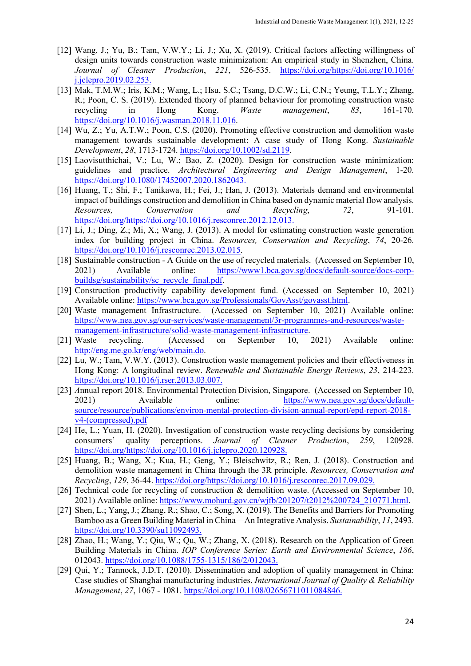- [12] Wang, J.; Yu, B.; Tam, V.W.Y.; Li, J.; Xu, X. (2019). Critical factors affecting willingness of design units towards construction waste minimization: An empirical study in Shenzhen, China. *Journal of Cleaner Production*, *221*, 526-535. [https://doi.org/https://doi.org/10.1016/](https://doi.org/https:/doi.org/10.1016/%20j.jclepro.2019.02.253)  [j.jclepro.2019.02.253.](https://doi.org/https:/doi.org/10.1016/%20j.jclepro.2019.02.253)
- [13] Mak, T.M.W.; Iris, K.M.; Wang, L.; Hsu, S.C.; Tsang, D.C.W.; Li, C.N.; Yeung, T.L.Y.; Zhang, R.; Poon, C. S. (2019). Extended theory of planned behaviour for promoting construction waste recycling in Hong Kong. *Waste management*, *83*, 161-170. [https://doi.org/10.1016/j.wasman.2018.11.016.](https://doi.org/10.1016/j.wasman.2018.11.016)
- [14] Wu, Z.; Yu, A.T.W.; Poon, C.S. (2020). Promoting effective construction and demolition waste management towards sustainable development: A case study of Hong Kong. *Sustainable Development*, *28*, 1713-1724. [https://doi.org/10.1002/sd.2119.](https://doi.org/10.1002/sd.2119)
- [15] Laovisutthichai, V.; Lu, W.; Bao, Z. (2020). Design for construction waste minimization: guidelines and practice. *Architectural Engineering and Design Management*, 1-20. [https://doi.org/10.1080/17452007.2020.1862043.](https://doi.org/10.1080/17452007.2020.1862043)
- [16] Huang, T.; Shi, F.; Tanikawa, H.; Fei, J.; Han, J. (2013). Materials demand and environmental impact of buildings construction and demolition in China based on dynamic material flow analysis. *Resources, Conservation and Recycling*, *72*, 91-101. [https://doi.org/https://doi.org/10.1016/j.resconrec.2012.12.013.](https://doi.org/https:/doi.org/10.1016/j.resconrec.2012.12.013)
- [17] Li, J.; Ding, Z.; Mi, X.; Wang, J. (2013). A model for estimating construction waste generation index for building project in China. *Resources, Conservation and Recycling*, *74*, 20-26. [https://doi.org/10.1016/j.resconrec.2013.02.015.](https://doi.org/10.1016/j.resconrec.2013.02.015)
- [18] Sustainable construction A Guide on the use of recycled materials. (Accessed on September 10, 2021) Available online: [https://www1.bca.gov.sg/docs/default-source/docs-corp](https://www1.bca.gov.sg/docs/default-source/docs-corp-buildsg/sustainability/sc_recycle_final.pdf)[buildsg/sustainability/sc\\_recycle\\_final.pdf.](https://www1.bca.gov.sg/docs/default-source/docs-corp-buildsg/sustainability/sc_recycle_final.pdf)
- [19] Construction productivity capability development fund. (Accessed on September 10, 2021) Available online: [https://www.bca.gov.sg/Professionals/GovAsst/govasst.html.](https://www.bca.gov.sg/Professionals/GovAsst/govasst.html)
- [20] Waste management Infrastructure. (Accessed on September 10, 2021) Available online: [https://www.nea.gov.sg/our-services/waste-management/3r-programmes-and-resources/waste](https://www.nea.gov.sg/our-services/waste-management/3r-programmes-and-resources/waste-management-infrastructure/solid-waste-management-infrastructure)[management-infrastructure/solid-waste-management-infrastructure.](https://www.nea.gov.sg/our-services/waste-management/3r-programmes-and-resources/waste-management-infrastructure/solid-waste-management-infrastructure)
- [21] Waste recycling. (Accessed on September 10, 2021) Available online: [http://eng.me.go.kr/eng/web/main.do.](http://eng.me.go.kr/eng/web/main.do)
- [22] Lu, W.; Tam, V.W.Y. (2013). Construction waste management policies and their effectiveness in Hong Kong: A longitudinal review. *Renewable and Sustainable Energy Reviews*, *23*, 214-223. [https://doi.org/10.1016/j.rser.2013.03.007.](https://doi.org/10.1016/j.rser.2013.03.007)
- [23] *A*nnual report 2018. Environmental Protection Division, Singapore. (Accessed on September 10, 2021) Available online: [https://www.nea.gov.sg/docs/default](https://www.nea.gov.sg/docs/default-source/resource/publications/environ-mental-protection-division-annual-report/epd-report-2018-v4-(compressed).pdf)[source/resource/publications/environ-mental-protection-division-annual-report/epd-report-2018](https://www.nea.gov.sg/docs/default-source/resource/publications/environ-mental-protection-division-annual-report/epd-report-2018-v4-(compressed).pdf) [v4-\(compressed\).pdf](https://www.nea.gov.sg/docs/default-source/resource/publications/environ-mental-protection-division-annual-report/epd-report-2018-v4-(compressed).pdf)
- [24] He, L.; Yuan, H. (2020). Investigation of construction waste recycling decisions by considering consumers' quality perceptions. *Journal of Cleaner Production*, *259*, 120928. [https://doi.org/https://doi.org/10.1016/j.jclepro.2020.120928.](https://doi.org/https:/doi.org/10.1016/j.jclepro.2020.120928)
- [25] Huang, B.; Wang, X.; Kua, H.; Geng, Y.; Bleischwitz, R.; Ren, J. (2018). Construction and demolition waste management in China through the 3R principle. *Resources, Conservation and Recycling*, *129*, 36-44. [https://doi.org/https://doi.org/10.1016/j.resconrec.2017.09.029.](https://doi.org/https:/doi.org/10.1016/j.resconrec.2017.09.029)
- [26] Technical code for recycling of construction & demolition waste. (Accessed on September 10, 2021) Available online[: https://www.mohurd.gov.cn/wjfb/201207/t2012%200724\\_210771.html.](https://www.mohurd.gov.cn/wjfb/201207/t2012%200724_210771.html)
- [27] Shen, L.; Yang, J.; Zhang, R.; Shao, C.; Song, X. (2019). The Benefits and Barriers for Promoting Bamboo as a Green Building Material in China—An Integrative Analysis. *Sustainability*, *11*, 2493. [https://doi.org/10.3390/su11092493.](https://doi.org/10.3390/su11092493)
- [28] Zhao, H.; Wang, Y.; Qiu, W.; Qu, W.; Zhang, X. (2018). Research on the Application of Green Building Materials in China. *IOP Conference Series: Earth and Environmental Science*, *186*, 012043. [https://doi.org/10.1088/1755-1315/186/2/012043.](https://doi.org/10.1088/1755-1315/186/2/012043)
- [29] Qui, Y.; Tannock, J.D.T. (2010). Dissemination and adoption of quality management in China: Case studies of Shanghai manufacturing industries. *International Journal of Quality & Reliability*  Management, 27, 1067 - 1081. [https://doi.org/10.1108/02656711011084846.](https://doi.org/10.1108/02656711011084846)